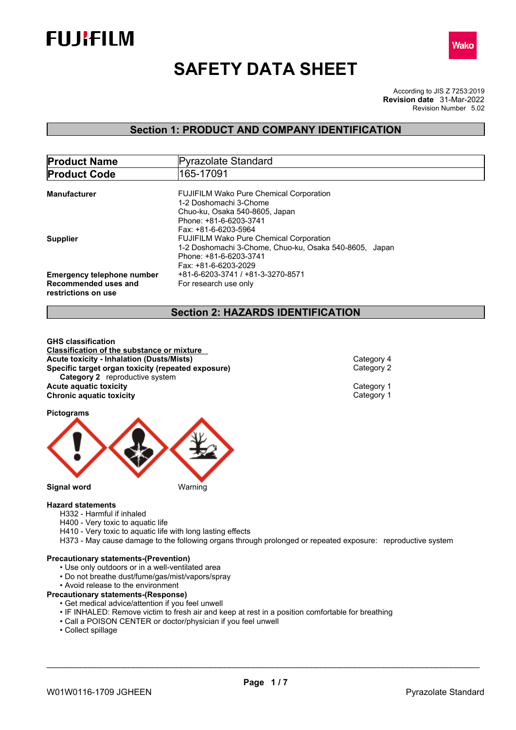



# **SAFETY DATA SHEET**

According to JIS Z 7253:2019 Revision Number 5.02 **Revision date** 31-Mar-2022

## **Section 1: PRODUCT AND COMPANY IDENTIFICATION**

| <b>Product Name</b>               | Pyrazolate Standard                                    |
|-----------------------------------|--------------------------------------------------------|
| <b>Product Code</b>               | 165-17091                                              |
|                                   |                                                        |
| Manufacturer                      | <b>FUJIFILM Wako Pure Chemical Corporation</b>         |
|                                   | 1-2 Doshomachi 3-Chome                                 |
|                                   | Chuo-ku, Osaka 540-8605, Japan                         |
|                                   | Phone: +81-6-6203-3741                                 |
|                                   | Fax: +81-6-6203-5964                                   |
| <b>Supplier</b>                   | <b>FUJIFILM Wako Pure Chemical Corporation</b>         |
|                                   | 1-2 Doshomachi 3-Chome, Chuo-ku, Osaka 540-8605, Japan |
|                                   | Phone: +81-6-6203-3741                                 |
|                                   | Fax: +81-6-6203-2029                                   |
| <b>Emergency telephone number</b> | +81-6-6203-3741 / +81-3-3270-8571                      |
|                                   |                                                        |
| Recommended uses and              | For research use only                                  |
| restrictions on use               |                                                        |

## **Section 2: HAZARDS IDENTIFICATION**

**GHS classification Classification of the substance or mixture Acute toxicity - Inhalation (Dusts/Mists)**<br> **Specific target organ toxicity (repeated exposure)** Category 2 **Specific target organ toxicity (repeated exposure) Category 2** reproductive system **Acute aquatic toxicity**<br> **Chronic aquatic toxicity**<br>
Chronic aquatic toxicity **Chronic aquatic toxicity** 

**Pictograms**



#### **Hazard statements**

H332 - Harmful if inhaled

- H400 Very toxic to aquatic life
- H410 Very toxic to aquatic life with long lasting effects

H373 - May cause damage to the following organs through prolonged or repeated exposure: reproductive system

#### **Precautionary statements-(Prevention)**

- Use only outdoors or in a well-ventilated area
- Do not breathe dust/fume/gas/mist/vapors/spray
- Avoid release to the environment

#### **Precautionary statements-(Response)**

- Get medical advice/attention if you feel unwell
- IF INHALED: Remove victim to fresh air and keep at rest in a position comfortable for breathing
- Call a POISON CENTER or doctor/physician if you feel unwell
- Collect spillage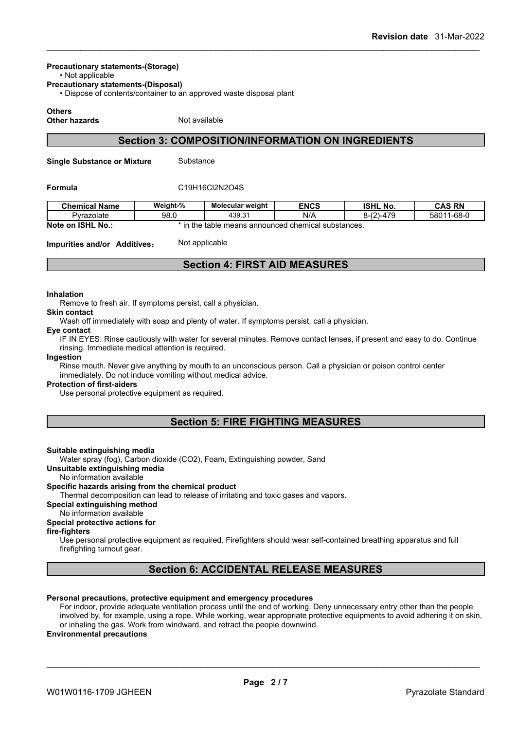#### **Precautionary statements-(Storage)**

• Not applicable

**Precautionary statements-(Disposal)**

• Dispose of contents/container to an approved waste disposal plant

#### **Others**

**Other hazards** Not available

## **Section 3: COMPOSITION/INFORMATION ON INGREDIENTS**

**Single Substance or Mixture** Substance

#### **Formula** C19H16Cl2N2O4S

| <b>Chemical Name</b>                | Weight-%                                                                   | <b>Molecular weight</b> | <b>ENCS</b> | <b>ISHL No.</b>    | <b>CAS RN</b>  |
|-------------------------------------|----------------------------------------------------------------------------|-------------------------|-------------|--------------------|----------------|
| Pyrazolate                          | 98.0                                                                       | 439.31                  | N/A         | 170<br>(2)<br>$-4$ | 1-68-0<br>5801 |
| Note on<br><b>ISHL</b><br><b>No</b> | n the<br>$\overline{1}$<br>neans announced chemical substances. •<br>table |                         |             |                    |                |

#### **Impurities and/or Additives:** Not applicable

## **Section 4: FIRST AID MEASURES**

#### **Inhalation**

Remove to fresh air. If symptoms persist, call a physician.

### **Skin contact**

Wash off immediately with soap and plenty of water. If symptoms persist, call a physician.

#### **Eye contact**

IF IN EYES: Rinse cautiously with water for several minutes. Remove contact lenses, if present and easy to do. Continue rinsing. Immediate medical attention is required.

#### **Ingestion**

Rinse mouth. Never give anything by mouth to an unconscious person. Call a physician or poison control center immediately. Do not induce vomiting without medical advice.

#### **Protection of first-aiders**

Use personal protective equipment as required.

## **Section 5: FIRE FIGHTING MEASURES**

#### **Suitable extinguishing media**

Water spray (fog), Carbon dioxide (CO2), Foam, Extinguishing powder, Sand

**Unsuitable extinguishing media**

No information available

#### **Specific hazards arising from the chemical product**

Thermal decomposition can lead to release of irritating and toxic gases and vapors.

#### **Special extinguishing method**

No information available

#### **Special protective actions for**

**fire-fighters**

Use personal protective equipment as required.Firefighters should wear self-contained breathing apparatus and full firefighting turnout gear.

## **Section 6: ACCIDENTAL RELEASE MEASURES**

#### **Personal precautions, protective equipment and emergency procedures**

For indoor, provide adequate ventilation process until the end of working. Deny unnecessary entry other than the people involved by, for example, using a rope. While working, wear appropriate protective equipments to avoid adhering it on skin, or inhaling the gas. Work from windward, and retract the people downwind.

#### **Environmental precautions**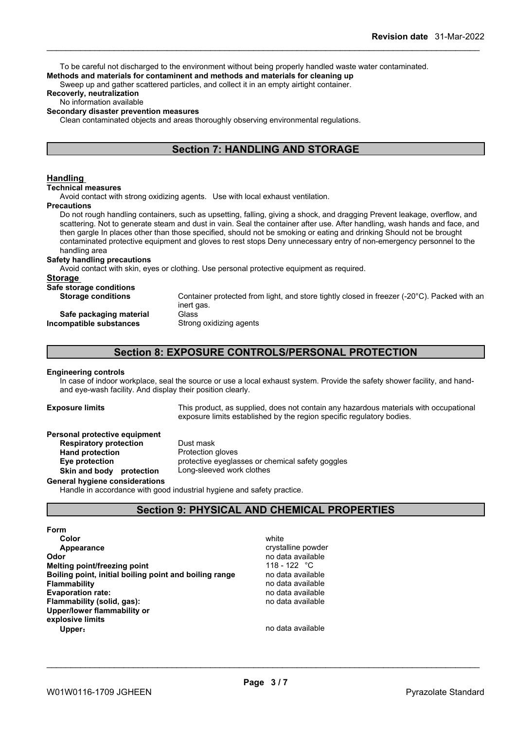To be careful not discharged to the environment without being properly handled waste water contaminated. **Methods and materials for contaminent and methods and materials for cleaning up**

Sweep up and gather scattered particles, and collect it in an empty airtight container.

#### **Recoverly, neutralization**

#### No information available

#### **Secondary disaster prevention measures**

Clean contaminated objects and areas thoroughly observing environmental regulations.

## **Section 7: HANDLING AND STORAGE**

#### **Handling**

#### **Technical measures**

Avoid contact with strong oxidizing agents. Use with local exhaust ventilation.

#### **Precautions**

Do not rough handling containers, such as upsetting, falling, giving a shock, and dragging Prevent leakage, overflow, and scattering. Not to generate steam and dust in vain. Seal the container after use. After handling, wash hands and face, and then gargle In places other than those specified, should not be smoking or eating and drinking Should not be brought contaminated protective equipment and gloves to rest stops Deny unnecessary entry of non-emergency personnel to the handling area

#### **Safety handling precautions**

Avoid contact with skin, eyes or clothing. Use personal protective equipment as required.

#### **Storage**

| Safe storage conditions   |                                                                                             |
|---------------------------|---------------------------------------------------------------------------------------------|
| <b>Storage conditions</b> | Container protected from light, and store tightly closed in freezer (-20°C). Packed with an |
|                           | inert gas.                                                                                  |
| Safe packaging material   | Glass                                                                                       |
| Incompatible substances   | Strong oxidizing agents                                                                     |
|                           |                                                                                             |

## **Section 8: EXPOSURE CONTROLS/PERSONAL PROTECTION**

#### **Engineering controls**

In case of indoor workplace, seal the source or use a local exhaust system. Provide the safety shower facility, and handand eye-wash facility. And display their position clearly.

**Exposure limits** This product, as supplied, does not contain any hazardous materials with occupational exposure limits established by the region specific regulatory bodies.

#### **Personal protective equipment**

**Respiratory protection** Dust mask **Hand protection** Protection gloves **Eye protection** protective eyeglasses or chemical safety goggles **Skin and body protection** Long-sleeved work clothes

#### **General hygiene considerations**

Handle in accordance with good industrial hygiene and safety practice.

## **Section 9: PHYSICAL AND CHEMICAL PROPERTIES**

#### **Form**

**Color** white the color of the color white the color of the color of the color of the color of the color of the color **Appearance Contract Contract Contract Contract Contract Contract Contract Contract Contract Contract Contract Contract Contract Contract Contract Contract Contract Contract Contract Contract Contract Contract Contract C Odor Odor** no data available **no data available no data available no data available no data available no data available no data available no data available no data available no data available no data a Melting point/freezing point heating heating 118 - 122** °C<br>**Boiling point, initial boiling point and boiling range and point and boiling and the sense of the Boiling Boiling** point, initial boiling point and boiling range **Flammability** no data available **Evaporation rate:** no data available **Flammability** (solid, gas): **Upper/lower flammability or explosive limits Upper:** no data available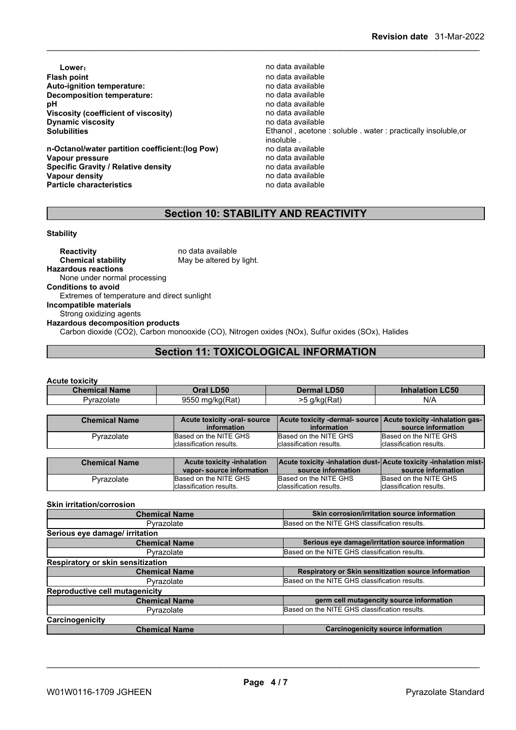**Lower: Contract available** to the contract of the contract of the contract of the contract of the contract of the contract of the contract of the contract of the contract of the contract of the contract of the contract **Flash point** no data available **Auto-ignition temperature:**<br> **Decomposition temperature:** National Composition of the product and available no data available **Decomposition temperature: pH** no data available<br>Viscosity (coefficient of viscosity) **physics** and a available **Viscosity (coefficient of viscosity)** no data available<br> **Dynamic viscosity no data available Dynamic viscosity**<br>Solubilities

**n-Octanol/water partition coefficient:(log Pow) Vapour pressure**<br> **Specific Gravity / Relative density**<br> **Specific Gravity / Relative density**<br> **Property** and a vailable **Specific Gravity / Relative density and the control of the Vapour density Vapour density v Vapour density Vapour density**<br> **Particle characteristics**<br> **Particle characteristics**<br> **Particle characteristics Particle characteristics** 

Ethanol, acetone : soluble . water : practically insoluble, or insoluble .<br>no data available

## **Section 10: STABILITY AND REACTIVITY**

#### **Stability**

**Reactivity** no data available<br> **Chemical stability** May be altered by May be altered by light. **Hazardous reactions** None under normal processing **Conditions to avoid** Extremes of temperature and direct sunlight **Incompatible materials** Strong oxidizing agents **Hazardous decomposition products** Carbon dioxide (CO2), Carbon monooxide (CO), Nitrogen oxides (NOx), Sulfur oxides (SOx), Halides

## **Section 11: TOXICOLOGICAL INFORMATION**

#### **Acute toxicity**

| <b>Chemical Name</b> | Oral LD50                                   | <b>Dermal LD50</b>       | <b>Inhalation LC50</b>                                                                |
|----------------------|---------------------------------------------|--------------------------|---------------------------------------------------------------------------------------|
| Pyrazolate           | 9550 mg/kg(Rat)                             | >5 g/kg(Rat)             | N/A                                                                                   |
|                      |                                             |                          |                                                                                       |
| <b>Chemical Name</b> | Acute toxicity -oral- source<br>information | information              | Acute toxicity -dermal-source   Acute toxicity -inhalation gas-<br>source information |
| Pyrazolate           | Based on the NITE GHS                       | Based on the NITE GHS    | Based on the NITE GHS                                                                 |
|                      | classification results.                     | classification results.  | classification results.                                                               |
|                      |                                             |                          |                                                                                       |
| <b>Chemical Name</b> | <b>Acute toxicity -inhalation</b>           |                          | Acute toxicity -inhalation dust-Acute toxicity -inhalation mist-                      |
|                      | vapor-source information                    | source information       | source information                                                                    |
| Pyrazolate           | Based on the NITE GHS                       | Based on the NITE GHS    | Based on the NITE GHS                                                                 |
|                      | Iclassification results.                    | Iclassification results. | classification results.                                                               |

#### **Skin irritation/corrosion**

| Skin corrosion/irritation source information<br><b>Chemical Name</b> |                                                      |
|----------------------------------------------------------------------|------------------------------------------------------|
| Pyrazolate                                                           | Based on the NITE GHS classification results.        |
| Serious eye damage/ irritation                                       |                                                      |
| <b>Chemical Name</b>                                                 | Serious eye damage/irritation source information     |
| Pyrazolate                                                           | Based on the NITE GHS classification results.        |
| Respiratory or skin sensitization                                    |                                                      |
| <b>Chemical Name</b>                                                 | Respiratory or Skin sensitization source information |
| Pyrazolate                                                           | Based on the NITE GHS classification results.        |
| <b>Reproductive cell mutagenicity</b>                                |                                                      |
| <b>Chemical Name</b>                                                 | germ cell mutagencity source information             |
| Pyrazolate                                                           | Based on the NITE GHS classification results.        |
| Carcinogenicity                                                      |                                                      |
| <b>Chemical Name</b>                                                 | Carcinogenicity source information                   |

\_\_\_\_\_\_\_\_\_\_\_\_\_\_\_\_\_\_\_\_\_\_\_\_\_\_\_\_\_\_\_\_\_\_\_\_\_\_\_\_\_\_\_\_\_\_\_\_\_\_\_\_\_\_\_\_\_\_\_\_\_\_\_\_\_\_\_\_\_\_\_\_\_\_\_\_\_\_\_\_\_\_\_\_\_\_\_\_\_\_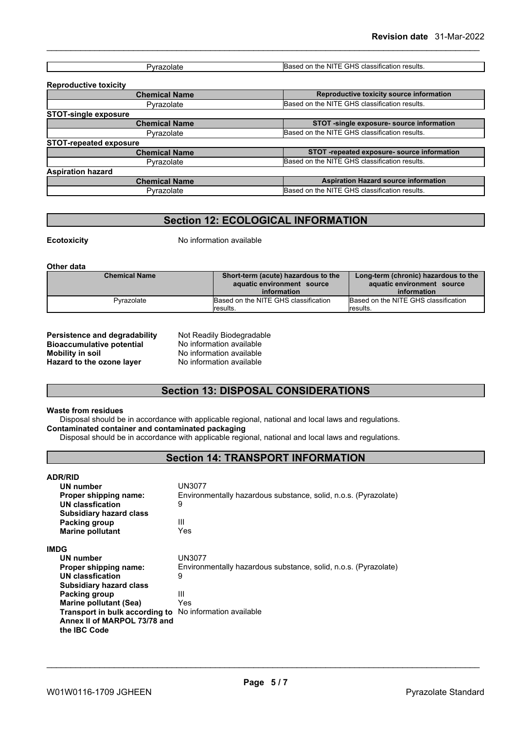|  | $\ddotsc$<br>210<br>NITI<br>the<br>results.<br>: classification.<br>$\sim$<br>.777<br>эn,<br>.<br>. |
|--|-----------------------------------------------------------------------------------------------------|

| <b>Reproductive toxicity</b>  |                                               |
|-------------------------------|-----------------------------------------------|
| <b>Chemical Name</b>          | Reproductive toxicity source information      |
| Pyrazolate                    | Based on the NITE GHS classification results. |
| <b>STOT-single exposure</b>   |                                               |
| <b>Chemical Name</b>          | STOT -single exposure- source information     |
| Pyrazolate                    | Based on the NITE GHS classification results. |
| <b>STOT-repeated exposure</b> |                                               |
| <b>Chemical Name</b>          | STOT -repeated exposure- source information   |
| Pyrazolate                    | Based on the NITE GHS classification results. |
| <b>Aspiration hazard</b>      |                                               |
| <b>Chemical Name</b>          | <b>Aspiration Hazard source information</b>   |
| Pyrazolate                    | Based on the NITE GHS classification results. |
|                               |                                               |

## **Section 12: ECOLOGICAL INFORMATION**

**Ecotoxicity** No information available

**Other data**

| <b>Chemical Name</b> | Short-term (acute) hazardous to the<br>aquatic environment source<br>information | Long-term (chronic) hazardous to the<br>aquatic environment source<br>information |
|----------------------|----------------------------------------------------------------------------------|-----------------------------------------------------------------------------------|
| Pyrazolate           | Based on the NITE GHS classification<br>lresults.                                | Based on the NITE GHS classification<br>results.                                  |

**Persistence and degradability** Not Readily Biodegradable<br> **Bioaccumulative potential** No information available **Bioaccumulative potential<br>Mobility in soil Hazard** to the ozone layer

No information available<br>No information available

## **Section 13: DISPOSAL CONSIDERATIONS**

#### **Waste from residues**

Disposal should be in accordance with applicable regional, national and local laws and regulations. **Contaminated container and contaminated packaging**

Disposal should be in accordance with applicable regional, national and local laws and regulations.

## **Section 14: TRANSPORT INFORMATION**

#### **ADR/RID**

| <b>UN number</b><br>Proper shipping name:<br>UN classfication<br>Subsidiary hazard class                | UN3077<br>Environmentally hazardous substance, solid, n.o.s. (Pyrazolate)<br>9 |
|---------------------------------------------------------------------------------------------------------|--------------------------------------------------------------------------------|
| Packing group                                                                                           | Ш                                                                              |
| <b>Marine pollutant</b>                                                                                 | Yes                                                                            |
| IMDG                                                                                                    |                                                                                |
| UN number                                                                                               | UN3077                                                                         |
| Proper shipping name:                                                                                   | Environmentally hazardous substance, solid, n.o.s. (Pyrazolate)                |
| UN classfication                                                                                        | 9                                                                              |
| Subsidiary hazard class                                                                                 |                                                                                |
| Packing group                                                                                           | Ш                                                                              |
| Marine pollutant (Sea)                                                                                  | Yes                                                                            |
| Transport in bulk according to No information available<br>Annex II of MARPOL 73/78 and<br>the IBC Code |                                                                                |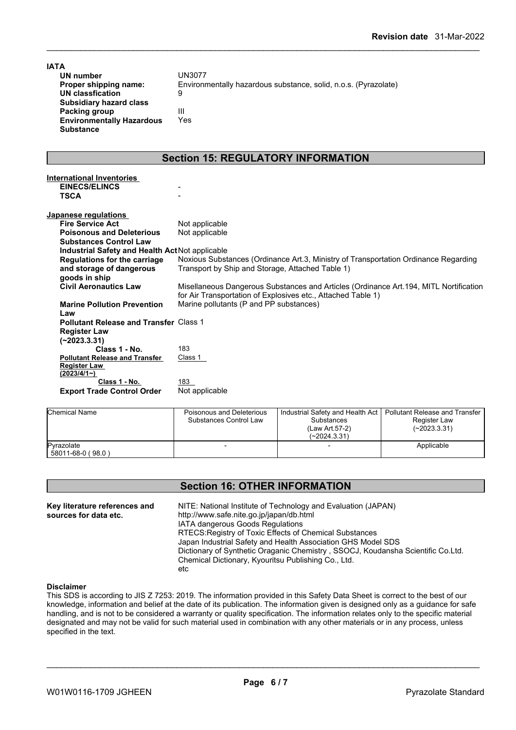| <b>IATA</b>                                                                            |                                                                                                                                                       |
|----------------------------------------------------------------------------------------|-------------------------------------------------------------------------------------------------------------------------------------------------------|
| <b>UN number</b>                                                                       | <b>UN3077</b>                                                                                                                                         |
| Proper shipping name:                                                                  | Environmentally hazardous substance, solid, n.o.s. (Pyrazolate)                                                                                       |
| <b>UN classfication</b>                                                                | 9                                                                                                                                                     |
| <b>Subsidiary hazard class</b>                                                         |                                                                                                                                                       |
| <b>Packing group</b>                                                                   | Ш                                                                                                                                                     |
| <b>Environmentally Hazardous</b>                                                       | Yes                                                                                                                                                   |
| <b>Substance</b>                                                                       |                                                                                                                                                       |
|                                                                                        | <b>Section 15: REGULATORY INFORMATION</b>                                                                                                             |
| <b>International Inventories</b>                                                       |                                                                                                                                                       |
| <b>EINECS/ELINCS</b>                                                                   |                                                                                                                                                       |
| <b>TSCA</b>                                                                            |                                                                                                                                                       |
| Japanese regulations                                                                   |                                                                                                                                                       |
| <b>Fire Service Act</b>                                                                | Not applicable                                                                                                                                        |
| <b>Poisonous and Deleterious</b>                                                       | Not applicable                                                                                                                                        |
| <b>Substances Control Law</b>                                                          |                                                                                                                                                       |
| Industrial Safety and Health Act Not applicable                                        |                                                                                                                                                       |
| <b>Regulations for the carriage</b>                                                    | Noxious Substances (Ordinance Art.3, Ministry of Transportation Ordinance Regarding                                                                   |
| and storage of dangerous                                                               | Transport by Ship and Storage, Attached Table 1)                                                                                                      |
| goods in ship                                                                          |                                                                                                                                                       |
| <b>Civil Aeronautics Law</b>                                                           | Misellaneous Dangerous Substances and Articles (Ordinance Art.194, MITL Nortification<br>for Air Transportation of Explosives etc., Attached Table 1) |
| <b>Marine Pollution Prevention</b>                                                     | Marine pollutants (P and PP substances)                                                                                                               |
| Law                                                                                    |                                                                                                                                                       |
| <b>Pollutant Release and Transfer Class 1</b>                                          |                                                                                                                                                       |
| <b>Register Law</b>                                                                    |                                                                                                                                                       |
| $(-2023.3.31)$                                                                         |                                                                                                                                                       |
| Class 1 - No.                                                                          | 183                                                                                                                                                   |
| <b>Pollutant Release and Transfer</b>                                                  | Class 1                                                                                                                                               |
| <b>Register Law</b>                                                                    |                                                                                                                                                       |
| (2023/4/1)                                                                             |                                                                                                                                                       |
| Class 1 - No.<br>$\mathbf{A}$ , and $\mathbf{A}$ , and $\mathbf{A}$ , and $\mathbf{A}$ | 183<br><b>Alle the conditions belief</b>                                                                                                              |

| <b>Chemical Name</b>            | Poisonous and Deleterious<br>Substances Control Law | Industrial Safety and Health Act   Pollutant Release and Transfer<br><b>Substances</b><br>(Law Art 57-2)<br>$(-2024.3.31)$ | Register Law<br>(~2023.3.31) |
|---------------------------------|-----------------------------------------------------|----------------------------------------------------------------------------------------------------------------------------|------------------------------|
| Pyrazolate<br>58011-68-0 (98.0) |                                                     |                                                                                                                            | Applicable                   |

## **Section 16: OTHER INFORMATION**

**Key literature references and Key literature references and** NITE: National Institute of Technology and Evaluation (JAPAN) sources for data etc. http://www.safe.nite.go.jp/japan/db.html IATA dangerous Goods Regulations RTECS:Registry of Toxic Effects of Chemical Substances Japan Industrial Safety and Health Association GHS Model SDS Dictionary of Synthetic Oraganic Chemistry , SSOCJ, Koudansha Scientific Co.Ltd. Chemical Dictionary, Kyouritsu Publishing Co., Ltd. etc

#### **Disclaimer**

This SDS is according to JIS Z 7253: 2019. The information provided in this Safety Data Sheet is correct to the best of our knowledge, information and belief at the date of its publication. The information given is designed only as a guidance for safe handling, and is not to be considered a warranty or quality specification. The information relates only to the specific material designated and may not be valid for such material used in combination with any other materials or in any process, unless specified in the text.